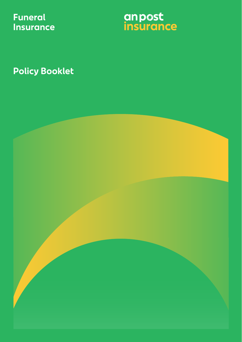**Funeral Insurance** anpost<br>insurance

**Policy Booklet**

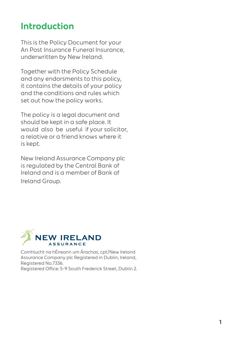## **Introduction**

This is the Policy Document for your An Post Insurance Funeral Insurance, underwritten by New Ireland.

Together with the Policy Schedule and any endorsments to this policy, it contains the details of your policy and the conditions and rules which set out how the policy works.

The policy is a legal document and should be kept in a safe place. It would also be useful if your solicitor, a relative or a friend knows where it is kept.

New Ireland Assurance Company plc is regulated by the Central Bank of Ireland and is a member of Bank of Ireland Group.



Comhlucht na hÉireann um Árachas, cpt/New Ireland Assurance Company plc Registered in Dublin, Ireland, Registered No.7336. Registered Office: 5-9 South Frederick Street, Dublin 2.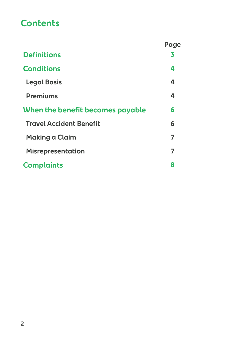## **Contents**

|                                  | Page |
|----------------------------------|------|
| <b>Definitions</b>               | 3    |
| <b>Conditions</b>                | 4    |
| <b>Legal Basis</b>               | 4    |
| <b>Premiums</b>                  | 4    |
| When the benefit becomes payable | 6    |
| <b>Travel Accident Benefit</b>   | 6    |
| <b>Making a Claim</b>            | 7    |
| <b>Misrepresentation</b>         | 7    |
| <b>Complaints</b>                | 8    |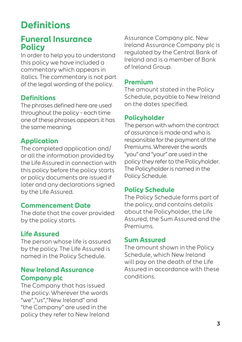# **Definitions**

### **Funeral Insurance Policy**

In order to help you to understand this policy we have included a commentary which appears in italics. The commentary is not part of the legal wording of the policy.

### **Definitions**

The phrases defined here are used throughout the policy – each time one of these phrases appears it has the same meaning.

#### **Application**

The completed application and/ or all the information provided by the Life Assured in connection with this policy before the policy starts or policy documents are issued if later and any declarations signed by the Life Assured.

#### **Commencement Date**

The date that the cover provided by the policy starts.

### **Life Assured**

The person whose life is assured by the policy. The Life Assured is named in the Policy Schedule.

#### **New Ireland Assurance Company plc**

The Company that has issued the policy. Wherever the words "we","us","New Ireland" and "the Company" are used in the policy they refer to New Ireland Assurance Company plc. New Ireland Assurance Company plc is regulated by the Central Bank of Ireland and is a member of Bank of Ireland Group.

#### **Premium**

The amount stated in the Policy Schedule, payable to New Ireland on the dates specified.

#### **Policyholder**

The person with whom the contract of assurance is made and who is responsible for the payment of the Premiums. Wherever the words "you" and "your" are used in the policy they refer to the Policyholder. The Policyholder is named in the Policy Schedule.

#### **Policy Schedule**

The Policy Schedule forms part of the policy, and contains details about the Policyholder, the Life Assured, the Sum Assured and the Premiums.

#### **Sum Assured**

The amount shown in the Policy Schedule, which New Ireland will pay on the death of the Life Assured in accordance with these conditions.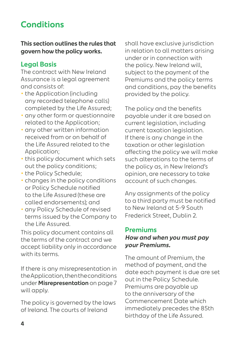## **Conditions**

**This section outlines the rules that govern how the policy works.**

#### **Legal Basis**

The contract with New Ireland Assurance is a legal agreement and consists of:

- **•** the Application (including any recorded telephone calls) completed by the Life Assured;
- **•** any other form or questionnaire related to the Application;
- **•** any other written information received from or on behalf of the Life Assured related to the Application;
- **•** this policy document which sets out the policy conditions;
- **•** the Policy Schedule;
- **•** changes in the policy conditions or Policy Schedule notified to the Life Assured (these are called endorsements); and
- **•** any Policy Schedule of revised terms issued by the Company to the Life Assured.

This policy document contains all the terms of the contract and we accept liability only in accordance with its terms.

If there is any misrepresentation in the Application, then the conditions under **Misrepresentation** on page 7 will apply.

The policy is governed by the laws of Ireland. The courts of Ireland

shall have exclusive jurisdiction in relation to all matters arising under or in connection with the policy. New Ireland will, subject to the payment of the Premiums and the policy terms and conditions, pay the benefits provided by the policy.

The policy and the benefits payable under it are based on current legislation, including current taxation legislation. If there is any change in the taxation or other legislation affecting the policy we will make such alterations to the terms of the policy as, in New Ireland's opinion, are necessary to take account of such changes.

Any assignments of the policy to a third party must be notified to New Ireland at 5-9 South Frederick Street, Dublin 2.

#### **Premiums How and when you must pay your Premiums.**

The amount of Premium, the method of payment, and the date each payment is due are set out in the Policy Schedule. Premiums are payable up to the anniversary of the Commencement Date which immediately precedes the 85th birthday of the Life Assured.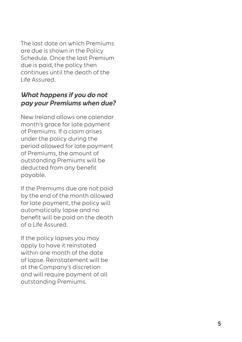The last date on which Premiums are due is shown in the Policy Schedule. Once the last Premium due is paid, the policy then continues until the death of the Life Assured.

### **What happens if you do not pay your Premiums when due?**

New Ireland allows one calendar month's grace for late payment of Premiums. If a claim arises under the policy during the period allowed for late payment of Premiums, the amount of outstanding Premiums will be deducted from any benefit payable.

If the Premiums due are not paid by the end of the month allowed for late payment, the policy will automatically lapse and no benefit will be paid on the death of a Life Assured.

If the policy lapses you may apply to have it reinstated within one month of the date of lapse. Reinstatement will be at the Company's discretion and will require payment of all outstanding Premiums.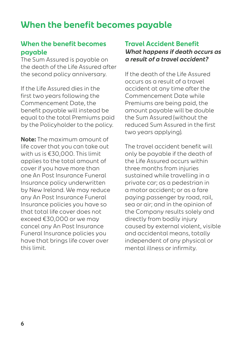## **When the benefit becomes payable**

### **When the benefit becomes payable**

The Sum Assured is payable on the death of the Life Assured after the second policy anniversary.

If the Life Assured dies in the first two years following the Commencement Date, the benefit payable will instead be equal to the total Premiums paid by the Policyholder to the policy.

**Note:** The maximum amount of life cover that you can take out with us is €30,000. This limit applies to the total amount of cover if you have more than one An Post Insurance Funeral Insurance policy underwritten by New Ireland. We may reduce any An Post Insurance Funeral Insurance policies you have so that total life cover does not exceed €30,000 or we may cancel any An Post Insurance Funeral Insurance policies you have that brings life cover over this limit.

#### **Travel Accident Benefit What happens if death occurs as a result of a travel accident?**

If the death of the Life Assured occurs as a result of a travel accident at any time after the Commencement Date while Premiums are being paid, the amount payable will be double the Sum Assured (without the reduced Sum Assured in the first two years applying).

The travel accident benefit will only be payable if the death of the Life Assured occurs within three months from injuries sustained while travelling in a private car; as a pedestrian in a motor accident; or as a fare paying passenger by road, rail, sea or air; and in the opinion of the Company results solely and directly from bodily injury caused by external violent, visible and accidental means, totally independent of any physical or mental illness or infirmity.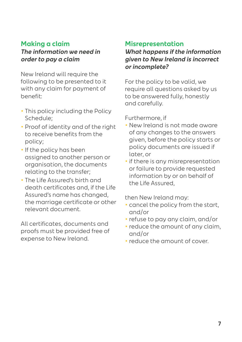### **Making a claim**

#### **The information we need in order to pay a claim**

New Ireland will require the following to be presented to it with any claim for payment of benefit:

- **•** This policy including the Policy Schedule;
- **•** Proof of identity and of the right to receive benefits from the policy;
- **•** If the policy has been assigned to another person or organisation, the documents relating to the transfer;
- **•** The Life Assured's birth and death certificates and, if the Life Assured's name has changed, the marriage certificate or other relevant document.

All certificates, documents and proofs must be provided free of expense to New Ireland.

#### **Misrepresentation**

**What happens if the information given to New Ireland is incorrect or incomplete?**

For the policy to be valid, we require all questions asked by us to be answered fully, honestly and carefully.

Furthermore, if

- **•** New Ireland is not made aware of any changes to the answers given, before the policy starts or policy documents are issued if later, or
- **•** if there is any misrepresentation or failure to provide requested information by or on behalf of the Life Assured,

then New Ireland may:

- **•** cancel the policy from the start, and/or
- **•** refuse to pay any claim, and/or
- **•** reduce the amount of any claim, and/or
- **•** reduce the amount of cover.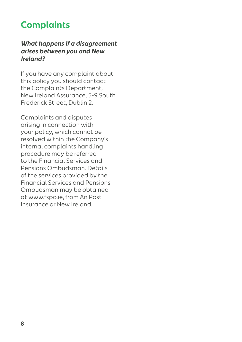## **Complaints**

#### **What happens if a disagreement arises between you and New Ireland?**

If you have any complaint about this policy you should contact the Complaints Department, New Ireland Assurance, 5-9 South Frederick Street, Dublin 2.

Complaints and disputes arising in connection with your policy, which cannot be resolved within the Company's internal complaints handling procedure may be referred to the Financial Services and Pensions Ombudsman. Details of the services provided by the Financial Services and Pensions Ombudsman may be obtained at www.fspo.ie, from An Post Insurance or New Ireland.